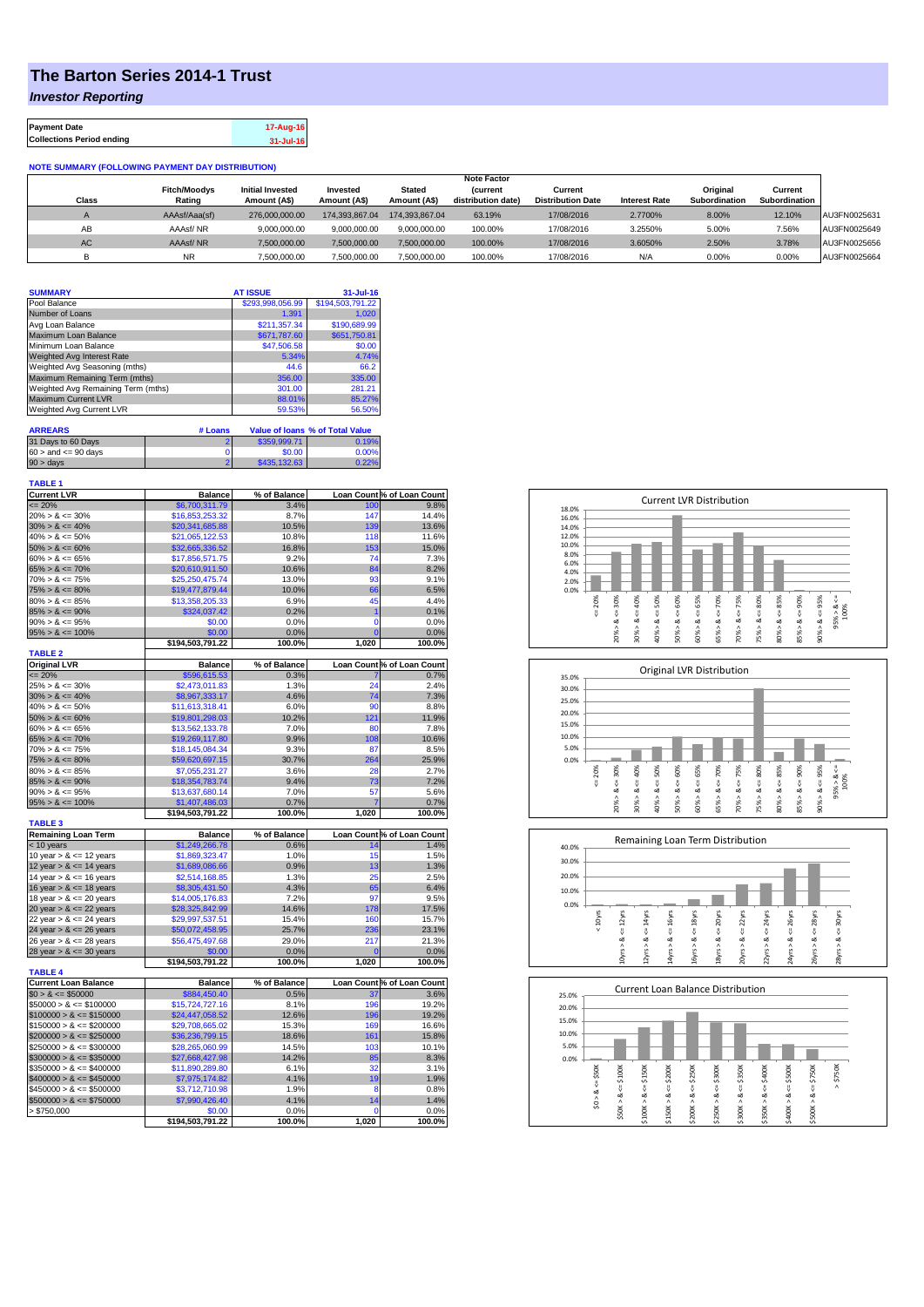## **The Barton Series 2014-1 Trust**

*Investor Reporting*

| <b>Payment Date</b>              | 17-Aug-16 |
|----------------------------------|-----------|
| <b>Collections Period ending</b> | 31-Jul-16 |

## **NOTE SUMMARY (FOLLOWING PAYMENT DAY DISTRIBUTION)**

|              |                     |                         |                |                | <b>Note Factor</b> |                          |                      |               |               |              |
|--------------|---------------------|-------------------------|----------------|----------------|--------------------|--------------------------|----------------------|---------------|---------------|--------------|
|              | <b>Fitch/Moodys</b> | <b>Initial Invested</b> | Invested       | Stated         | <b>Current</b>     | Current                  |                      | Original      | Current       |              |
| <b>Class</b> | Rating              | Amount (A\$)            | Amount (A\$)   | Amount (A\$)   | distribution date) | <b>Distribution Date</b> | <b>Interest Rate</b> | Subordination | Subordination |              |
|              | AAAsf/Aaa(sf)       | 276,000,000,00          | 174.393.867.04 | 174.393.867.04 | 63.19%             | 17/08/2016               | 2.7700%              | 8.00%         | 12.10%        | AU3FN0025631 |
| AB           | AAAsf/NR            | 9,000,000.00            | 9.000.000.00   | 9.000.000.00   | 100.00%            | 17/08/2016               | 3.2550%              | 5.00%         | 7.56%         | AU3FN0025649 |
| AC.          | AAAsf/NR            | 7,500,000.00            | 7.500.000.00   | 7.500.000.00   | 100.00%            | 17/08/2016               | 3.6050%              | 2.50%         | 3.78%         | AU3FN0025656 |
|              | <b>NR</b>           | ,500,000.00             | 7.500.000.00   | 7,500,000.00   | 100.00%            | 17/08/2016               | N/A                  | 0.00%         | 0.00%         | AU3FN0025664 |

|         | <b>AT ISSUE</b>  | 31-Jul-16                              |
|---------|------------------|----------------------------------------|
|         | \$293,998,056.99 | \$194,503,791.22                       |
|         | 1.391            | 1.020                                  |
|         | \$211.357.34     | \$190,689.99                           |
|         | \$671,787.60     | \$651,750.81                           |
|         | \$47,506.58      | \$0.00                                 |
|         | 5.34%            | 4.74%                                  |
|         | 44.6             | 66.2                                   |
|         | 356.00           | 335.00                                 |
|         | 301.00           | 281.21                                 |
|         | 88.01%           | 85.27%                                 |
|         | 59.53%           | 56.50%                                 |
|         |                  |                                        |
| # Loans |                  | <b>Value of loans % of Total Value</b> |
|         |                  |                                        |

| 31 Days to 60 Days        | \$359,999.71 | 0.19%    |
|---------------------------|--------------|----------|
| $60 >$ and $\leq 90$ days | \$0.00       | $0.00\%$ |
| $90 > \text{days}$        | \$435,132,63 | 0.22%    |

| <b>TABLE 1</b>              |                  |              |                |                            |
|-----------------------------|------------------|--------------|----------------|----------------------------|
| <b>Current LVR</b>          | <b>Balance</b>   | % of Balance |                | Loan Count % of Loan Count |
| $= 20%$                     | \$6,700,311.79   | 3.4%         | 100            | 9.8%                       |
| $20\% > 8 \le 30\%$         | \$16,853,253.32  | 8.7%         | 147            | 14.4%                      |
| $30\% > 8 \le 40\%$         | \$20,341,685.88  | 10.5%        | 139            | 13.6%                      |
| $40\% > 8 \le 50\%$         | \$21,065,122.53  | 10.8%        | 118            | 11.6%                      |
| $50\% > 8 \le 60\%$         | \$32,665,336.52  | 16.8%        | 153            | 15.0%                      |
| $60\% > 8 \le 65\%$         | \$17,856,571.75  | 9.2%         | 74             | 7.3%                       |
| $65\% > 8 \le 70\%$         | \$20,610,911.50  | 10.6%        | 84             | 8.2%                       |
| $70\% > 8 \le 75\%$         | \$25,250,475.74  | 13.0%        | 93             | 9.1%                       |
| $75\% > 8 \le 80\%$         | \$19,477,879.44  | 10.0%        | 66             | 6.5%                       |
| $80\% > 8 \le 85\%$         | \$13,358,205.33  | 6.9%         | 45             | 4.4%                       |
| $85\% > 8 \le 90\%$         | \$324,037.42     | 0.2%         | 1              | 0.1%                       |
| $90\% > 8 \le 95\%$         | \$0.00           | 0.0%         | $\mathbf 0$    | 0.0%                       |
| $95\% > 8 \le 100\%$        | \$0.00           | 0.0%         | Ō              | 0.0%                       |
|                             | \$194,503,791.22 | 100.0%       | 1,020          | 100.0%                     |
| <b>TABLE 2</b>              |                  |              |                |                            |
| <b>Original LVR</b>         | <b>Balance</b>   | % of Balance |                | Loan Count % of Loan Count |
| $\leq$ 20%                  | \$596,615.53     | 0.3%         |                | 0.7%                       |
| $25\% > 8 \le 30\%$         | \$2,473,011.83   | 1.3%         | 24             | 2.4%                       |
| $30\% > 8 \le 40\%$         | \$8,967,333.17   | 4.6%         | 74             | 7.3%                       |
| $40\% > 8 \le 50\%$         | \$11,613,318.41  | 6.0%         | 90             | 8.8%                       |
| $50\% > 8 \le 60\%$         | \$19,801,298.03  | 10.2%        | 121            | 11.9%                      |
| $60\% > 8 \le 65\%$         | \$13,562,133.78  | 7.0%         | 80             | 7.8%                       |
| $65\% > 8 \le 70\%$         | \$19,269,117.80  | 9.9%         | 108            | 10.6%                      |
| $70\% > 8 \le 75\%$         | \$18.145.084.34  | 9.3%         | 87             | 8.5%                       |
| $75\% > 8 \le 80\%$         | \$59,620,697.15  | 30.7%        | 264            | 25.9%                      |
| $80\% > 8 \le 85\%$         | \$7,055,231.27   | 3.6%         | 28             | 2.7%                       |
| $85\% > 8 \le 90\%$         | \$18,354,783.74  | 9.4%         | 73             | 7.2%                       |
| $90\% > 8 \le 95\%$         | \$13,637,680.14  | 7.0%         | 57             | 5.6%                       |
| $95\% > 8 \le 100\%$        | \$1,407,486.03   | 0.7%         |                | 0.7%                       |
| <b>TABLE 3</b>              | \$194,503,791.22 | 100.0%       | 1,020          | 100.0%                     |
| <b>Remaining Loan Term</b>  | <b>Balance</b>   | % of Balance |                | Loan Count % of Loan Count |
| < 10 years                  | \$1,249,266.78   | 0.6%         | 14             | 1.4%                       |
| 10 year $> 8 \le 12$ years  | \$1,869,323.47   | 1.0%         | 15             | 1.5%                       |
| 12 year $> 8 \le 14$ years  | \$1,689,086.66   | 0.9%         | 13             | 1.3%                       |
| 14 year $> 8 \le 16$ years  | \$2,514,168.85   | 1.3%         | 25             | 2.5%                       |
| 16 year $> 8 \le 18$ years  | \$8,305,431.50   | 4.3%         | 65             | 6.4%                       |
| 18 year $> 8 \le 20$ years  | \$14,005,176.83  | 7.2%         | 97             | 9.5%                       |
| 20 year $> 8 \le 22$ years  | \$28,325,842.99  | 14.6%        | 178            | 17.5%                      |
| 22 year $> 8 \le 24$ years  | \$29,997,537.51  | 15.4%        | 160            | 15.7%                      |
| 24 year $> 8 \le 26$ years  | \$50,072,458.95  | 25.7%        | 236            | 23.1%                      |
| 26 year > & <= 28 years     | \$56,475,497.68  | 29.0%        | 217            | 21.3%                      |
| 28 year $> 8 \le 30$ years  | \$0.00           | 0.0%         | $\overline{0}$ | 0.0%                       |
|                             | \$194,503,791.22 | 100.0%       | 1,020          | 100.0%                     |
| <b>TABLE 4</b>              |                  |              |                |                            |
| <b>Current Loan Balance</b> | <b>Balance</b>   | % of Balance |                | Loan Count % of Loan Count |
| $$0 > 8 \le $50000$         | \$884,450.40     | 0.5%         | 37             | 3.6%                       |
| $$50000 > 8 \le $100000$    | \$15,724,727.16  | 8.1%         | 196            | 19.2%                      |
| $$100000 > 8 \leq $150000$  | \$24,447,058.52  | 12.6%        | 196            | 19.2%                      |
| $$150000 > 8 \leq $200000$  | \$29,708,665.02  | 15.3%        | 169            | 16.6%                      |
| $$200000 > 8 \leq $250000$  | \$36,236,799.15  | 18.6%        | 161            | 15.8%                      |
| $$250000 > 8 \leq $300000$  | \$28,265,060.99  | 14.5%        | 103            | 10.1%                      |
| $$300000 > 8 \leq $350000$  | \$27,668,427.98  | 14.2%        | 85             | 8.3%                       |
| $$350000 > 8 \leq $400000$  | \$11,890,289.80  | 6.1%         | 32             | 3.1%                       |
| $$400000 > 8 \leq $450000$  | \$7,975,174.82   | 4.1%         | 19             | 1.9%                       |
| $$450000 > 8 \le $500000$   | \$3,712,710.98   | 1.9%         | 8              | 0.8%                       |
| $$500000 > 8 \leq $750000$  | \$7,990,426.40   | 4.1%         | 14             | 1.4%                       |
| > \$750,000                 | \$0.00           | 0.0%         | 0              | 0.0%                       |
|                             | \$194,503,791.22 | 100.0%       | 1,020          | 100.0%                     |